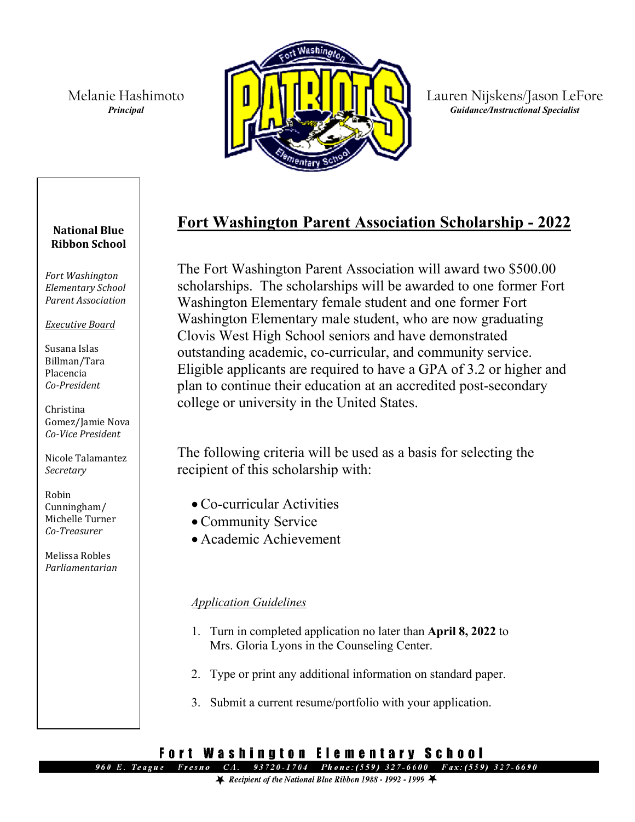Melanie Hashimoto *Principal*



Lauren Nijskens/Jason LeFore *Guidance/Instructional Specialist*

# **Fort Washington Parent Association Scholarship - 2022**

The Fort Washington Parent Association will award two \$500.00 scholarships. The scholarships will be awarded to one former Fort Washington Elementary female student and one former Fort Washington Elementary male student, who are now graduating Clovis West High School seniors and have demonstrated outstanding academic, co-curricular, and community service. Eligible applicants are required to have a GPA of 3.2 or higher and plan to continue their education at an accredited post-secondary college or university in the United States.

The following criteria will be used as a basis for selecting the recipient of this scholarship with:

- Co-curricular Activities
- Community Service
- Academic Achievement

## *Application Guidelines*

- 1. Turn in completed application no later than **April 8, 2022** to Mrs. Gloria Lyons in the Counseling Center.
- 2. Type or print any additional information on standard paper.
- 3. Submit a current resume/portfolio with your application.

#### Fort Washington Elementary School 960 E. Teague Fresno

 $CA.$ 93720-1704 Phone: (559) 327-6600 Fax: (559) 327-6690

#### **National Blue Ribbon School**

*Fort Washington Elementary School Parent Association* 

*Executive Board*

Susana Islas Billman/Tara Placencia *Co-President*

Christina Gomez/Jamie Nova *Co-Vice President*

Nicole Talamantez *Secretary*

Robin Cunningham/ Michelle Turner *Co-Treasurer*

Melissa Robles *Parliamentarian*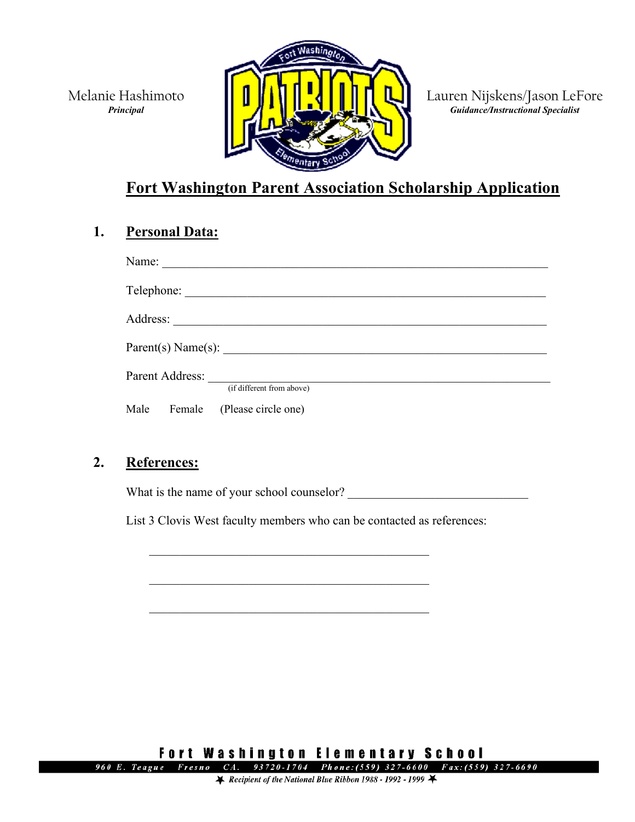Melanie Hashimoto *Principal*



Lauren Nijskens/Jason LeFore *Guidance/Instructional Specialist*

# **Fort Washington Parent Association Scholarship Application**

### **1. Personal Data:**

| Name: |                 |                                                                                                                                                                                                                               |  |  |
|-------|-----------------|-------------------------------------------------------------------------------------------------------------------------------------------------------------------------------------------------------------------------------|--|--|
|       | Telephone:      | the control of the control of the control of the control of the control of the control of the control of the control of the control of the control of the control of the control of the control of the control of the control |  |  |
|       |                 |                                                                                                                                                                                                                               |  |  |
|       |                 | Parent(s) Name(s):                                                                                                                                                                                                            |  |  |
|       | Parent Address: | (if different from above)                                                                                                                                                                                                     |  |  |
| Male  | Female          | (Please circle one)                                                                                                                                                                                                           |  |  |

### **2. References:**

What is the name of your school counselor?

\_\_\_\_\_\_\_\_\_\_\_\_\_\_\_\_\_\_\_\_\_\_\_\_\_\_\_\_\_\_\_\_\_\_\_\_\_\_\_\_\_\_\_\_\_

\_\_\_\_\_\_\_\_\_\_\_\_\_\_\_\_\_\_\_\_\_\_\_\_\_\_\_\_\_\_\_\_\_\_\_\_\_\_\_\_\_\_\_\_\_

List 3 Clovis West faculty members who can be contacted as references:

**Fort Washington Elementary School** 960 E. Teague Fresno CA. 93720-1704 Phone: (559) 327-6600 Fax: (559) 327-6690